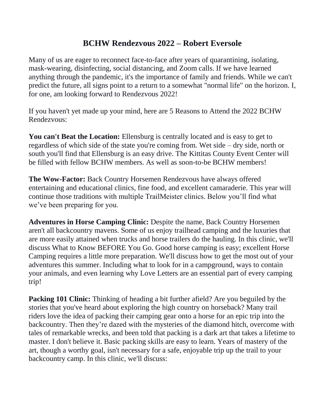## **BCHW Rendezvous 2022 – Robert Eversole**

Many of us are eager to reconnect face-to-face after years of quarantining, isolating, mask-wearing, disinfecting, social distancing, and Zoom calls. If we have learned anything through the pandemic, it's the importance of family and friends. While we can't predict the future, all signs point to a return to a somewhat "normal life" on the horizon. I, for one, am looking forward to Rendezvous 2022!

If you haven't yet made up your mind, here are 5 Reasons to Attend the 2022 BCHW Rendezvous:

**You can't Beat the Location:** Ellensburg is centrally located and is easy to get to regardless of which side of the state you're coming from. Wet side – dry side, north or south you'll find that Ellensburg is an easy drive. The Kittitas County Event Center will be filled with fellow BCHW members. As well as soon-to-be BCHW members!

**The Wow-Factor:** Back Country Horsemen Rendezvous have always offered entertaining and educational clinics, fine food, and excellent camaraderie. This year will continue those traditions with multiple TrailMeister clinics. Below you'll find what we've been preparing for you.

**Adventures in Horse Camping Clinic:** Despite the name, Back Country Horsemen aren't all backcountry mavens. Some of us enjoy trailhead camping and the luxuries that are more easily attained when trucks and horse trailers do the hauling. In this clinic, we'll discuss What to Know BEFORE You Go. Good horse camping is easy; excellent Horse Camping requires a little more preparation. We'll discuss how to get the most out of your adventures this summer. Including what to look for in a campground, ways to contain your animals, and even learning why Love Letters are an essential part of every camping trip!

**Packing 101 Clinic:** Thinking of heading a bit further afield? Are you beguiled by the stories that you've heard about exploring the high country on horseback? Many trail riders love the idea of packing their camping gear onto a horse for an epic trip into the backcountry. Then they're dazed with the mysteries of the diamond hitch, overcome with tales of remarkable wrecks, and been told that packing is a dark art that takes a lifetime to master. I don't believe it. Basic packing skills are easy to learn. Years of mastery of the art, though a worthy goal, isn't necessary for a safe, enjoyable trip up the trail to your backcountry camp. In this clinic, we'll discuss: